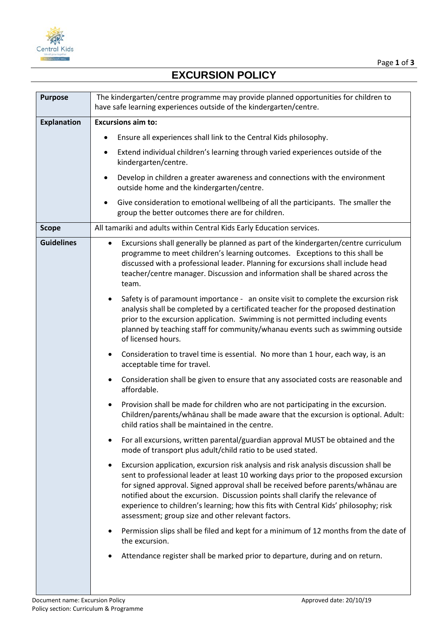

## **EXCURSION POLICY**

| <b>Purpose</b>     | The kindergarten/centre programme may provide planned opportunities for children to<br>have safe learning experiences outside of the kindergarten/centre.                                                                                                                                                                                                                                                                                                                                             |
|--------------------|-------------------------------------------------------------------------------------------------------------------------------------------------------------------------------------------------------------------------------------------------------------------------------------------------------------------------------------------------------------------------------------------------------------------------------------------------------------------------------------------------------|
| <b>Explanation</b> | <b>Excursions aim to:</b>                                                                                                                                                                                                                                                                                                                                                                                                                                                                             |
|                    | Ensure all experiences shall link to the Central Kids philosophy.<br>٠                                                                                                                                                                                                                                                                                                                                                                                                                                |
|                    | Extend individual children's learning through varied experiences outside of the<br>٠<br>kindergarten/centre.                                                                                                                                                                                                                                                                                                                                                                                          |
|                    | Develop in children a greater awareness and connections with the environment<br>outside home and the kindergarten/centre.                                                                                                                                                                                                                                                                                                                                                                             |
|                    | Give consideration to emotional wellbeing of all the participants. The smaller the<br>٠<br>group the better outcomes there are for children.                                                                                                                                                                                                                                                                                                                                                          |
| <b>Scope</b>       | All tamariki and adults within Central Kids Early Education services.                                                                                                                                                                                                                                                                                                                                                                                                                                 |
| <b>Guidelines</b>  | Excursions shall generally be planned as part of the kindergarten/centre curriculum<br>programme to meet children's learning outcomes. Exceptions to this shall be<br>discussed with a professional leader. Planning for excursions shall include head<br>teacher/centre manager. Discussion and information shall be shared across the<br>team.                                                                                                                                                      |
|                    | Safety is of paramount importance - an onsite visit to complete the excursion risk<br>analysis shall be completed by a certificated teacher for the proposed destination<br>prior to the excursion application. Swimming is not permitted including events<br>planned by teaching staff for community/whanau events such as swimming outside<br>of licensed hours.                                                                                                                                    |
|                    | Consideration to travel time is essential. No more than 1 hour, each way, is an<br>$\bullet$<br>acceptable time for travel.                                                                                                                                                                                                                                                                                                                                                                           |
|                    | Consideration shall be given to ensure that any associated costs are reasonable and<br>٠<br>affordable.                                                                                                                                                                                                                                                                                                                                                                                               |
|                    | Provision shall be made for children who are not participating in the excursion.<br>Children/parents/whānau shall be made aware that the excursion is optional. Adult:<br>child ratios shall be maintained in the centre.                                                                                                                                                                                                                                                                             |
|                    | For all excursions, written parental/guardian approval MUST be obtained and the<br>mode of transport plus adult/child ratio to be used stated.                                                                                                                                                                                                                                                                                                                                                        |
|                    | Excursion application, excursion risk analysis and risk analysis discussion shall be<br>٠<br>sent to professional leader at least 10 working days prior to the proposed excursion<br>for signed approval. Signed approval shall be received before parents/whānau are<br>notified about the excursion. Discussion points shall clarify the relevance of<br>experience to children's learning; how this fits with Central Kids' philosophy; risk<br>assessment; group size and other relevant factors. |
|                    | Permission slips shall be filed and kept for a minimum of 12 months from the date of<br>the excursion.                                                                                                                                                                                                                                                                                                                                                                                                |
|                    | Attendance register shall be marked prior to departure, during and on return.                                                                                                                                                                                                                                                                                                                                                                                                                         |
|                    |                                                                                                                                                                                                                                                                                                                                                                                                                                                                                                       |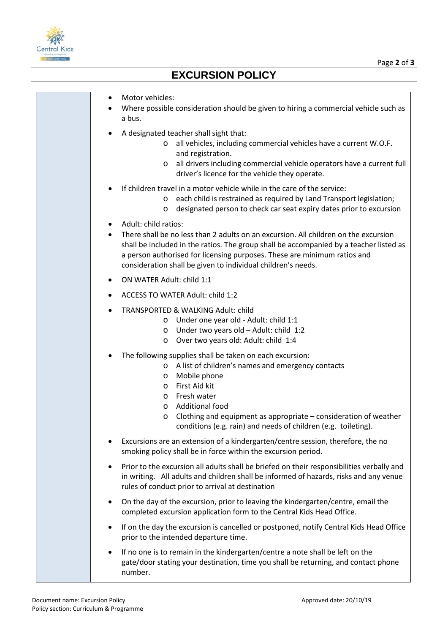

## **EXCURSION POLICY**

| Motor vehicles:<br>٠<br>Where possible consideration should be given to hiring a commercial vehicle such as<br>a bus.                                                                                                                                                                                                                                                                     |
|-------------------------------------------------------------------------------------------------------------------------------------------------------------------------------------------------------------------------------------------------------------------------------------------------------------------------------------------------------------------------------------------|
| A designated teacher shall sight that:<br>all vehicles, including commercial vehicles have a current W.O.F.<br>and registration.<br>all drivers including commercial vehicle operators have a current full<br>$\circ$<br>driver's licence for the vehicle they operate.                                                                                                                   |
| If children travel in a motor vehicle while in the care of the service:<br>each child is restrained as required by Land Transport legislation;<br>$\circ$<br>designated person to check car seat expiry dates prior to excursion<br>$\circ$                                                                                                                                               |
| Adult: child ratios:<br>There shall be no less than 2 adults on an excursion. All children on the excursion<br>shall be included in the ratios. The group shall be accompanied by a teacher listed as<br>a person authorised for licensing purposes. These are minimum ratios and<br>consideration shall be given to individual children's needs.                                         |
| ON WATER Adult: child 1:1                                                                                                                                                                                                                                                                                                                                                                 |
| ACCESS TO WATER Adult: child 1:2                                                                                                                                                                                                                                                                                                                                                          |
| TRANSPORTED & WALKING Adult: child<br>o Under one year old - Adult: child 1:1<br>Under two years old - Adult: child 1:2<br>$\circ$<br>Over two years old: Adult: child 1:4<br>$\circ$                                                                                                                                                                                                     |
| The following supplies shall be taken on each excursion:<br>A list of children's names and emergency contacts<br>$\circ$<br>Mobile phone<br>$\circ$<br>First Aid kit<br>$\circ$<br>Fresh water<br>$\circ$<br><b>Additional food</b><br>$\circ$<br>Clothing and equipment as appropriate – consideration of weather<br>O<br>conditions (e.g. rain) and needs of children (e.g. toileting). |
| Excursions are an extension of a kindergarten/centre session, therefore, the no<br>smoking policy shall be in force within the excursion period.                                                                                                                                                                                                                                          |
| Prior to the excursion all adults shall be briefed on their responsibilities verbally and<br>$\bullet$<br>in writing. All adults and children shall be informed of hazards, risks and any venue<br>rules of conduct prior to arrival at destination                                                                                                                                       |
| On the day of the excursion, prior to leaving the kindergarten/centre, email the<br>$\bullet$<br>completed excursion application form to the Central Kids Head Office.                                                                                                                                                                                                                    |
| If on the day the excursion is cancelled or postponed, notify Central Kids Head Office<br>$\bullet$<br>prior to the intended departure time.                                                                                                                                                                                                                                              |
| If no one is to remain in the kindergarten/centre a note shall be left on the<br>$\bullet$<br>gate/door stating your destination, time you shall be returning, and contact phone<br>number.                                                                                                                                                                                               |